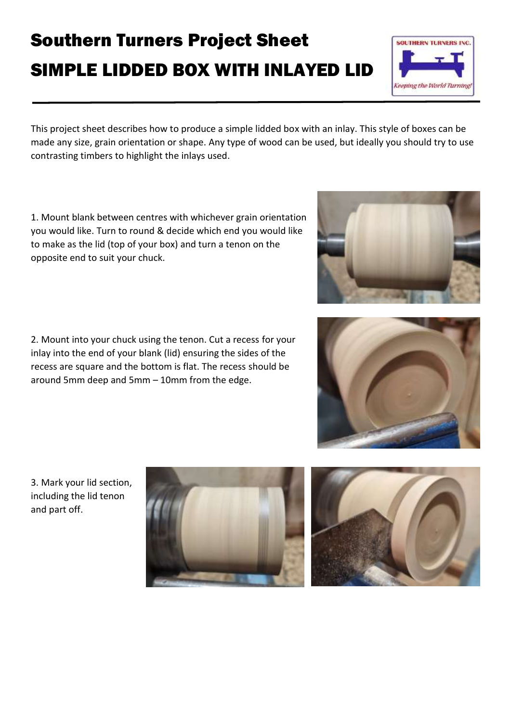## Southern Turners Project Sheet SIMPLE LIDDED BOX WITH INLAYED LID

This project sheet describes how to produce a simple lidded box with an inlay. This style of boxes can be made any size, grain orientation or shape. Any type of wood can be used, but ideally you should try to use contrasting timbers to highlight the inlays used.

1. Mount blank between centres with whichever grain orientation you would like. Turn to round & decide which end you would like to make as the lid (top of your box) and turn a tenon on the opposite end to suit your chuck.

2. Mount into your chuck using the tenon. Cut a recess for your inlay into the end of your blank (lid) ensuring the sides of the recess are square and the bottom is flat. The recess should be around 5mm deep and 5mm – 10mm from the edge.

3. Mark your lid section, including the lid tenon and part off.











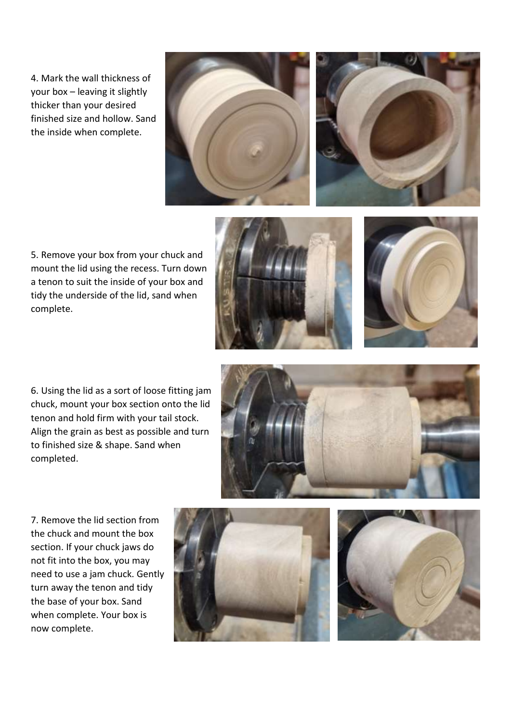4. Mark the wall thickness of your box – leaving it slightly thicker than your desired finished size and hollow. Sand the inside when complete.





5. Remove your box from your chuck and mount the lid using the recess. Turn down a tenon to suit the inside of your box and tidy the underside of the lid, sand when complete.





6. Using the lid as a sort of loose fitting jam chuck, mount your box section onto the lid tenon and hold firm with your tail stock. Align the grain as best as possible and turn to finished size & shape. Sand when completed.



7. Remove the lid section from the chuck and mount the box section. If your chuck jaws do not fit into the box, you may need to use a jam chuck. Gently turn away the tenon and tidy the base of your box. Sand when complete. Your box is now complete.